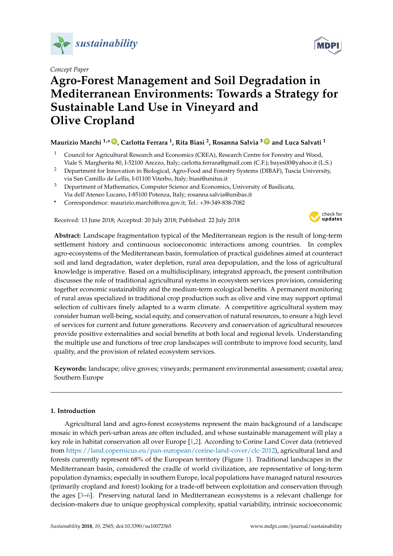

*Concept Paper*

# **Agro-Forest Management and Soil Degradation in Mediterranean Environments: Towards a Strategy for Sustainable Land Use in Vineyard and Olive Cropland**

# **Maurizio Marchi 1,\* [ID](https://orcid.org/0000-0002-6134-1744) , Carlotta Ferrara <sup>1</sup> , Rita Biasi <sup>2</sup> , Rosanna Salvia <sup>3</sup> [ID](https://orcid.org/0000-0003-0349-781X) and Luca Salvati <sup>1</sup>**

- <sup>1</sup> Council for Agricultural Research and Economics (CREA), Research Centre for Forestry and Wood, Viale S. Margherita 80, I-52100 Arezzo, Italy; carlotta.ferrara@gmail.com (C.F.); bayes00@yahoo.it (L.S.)
- <sup>2</sup> Department for Innovation in Biological, Agro-Food and Forestry Systems (DIBAF), Tuscia University, via San Camillo de Lellis, I-01100 Viterbo, Italy; biasi@unitus.it
- <sup>3</sup> Department of Mathematics, Computer Science and Economics, University of Basilicata, Via dell'Ateneo Lucano, I-85100 Potenza, Italy; rosanna.salvia@unibas.it
- **\*** Correspondence: maurizio.marchi@crea.gov.it; Tel.: +39-349-838-7082

Received: 13 June 2018; Accepted: 20 July 2018; Published: 22 July 2018



**Abstract:** Landscape fragmentation typical of the Mediterranean region is the result of long-term settlement history and continuous socioeconomic interactions among countries. In complex agro-ecosystems of the Mediterranean basin, formulation of practical guidelines aimed at counteract soil and land degradation, water depletion, rural area depopulation, and the loss of agricultural knowledge is imperative. Based on a multidisciplinary, integrated approach, the present contribution discusses the role of traditional agricultural systems in ecosystem services provision, considering together economic sustainability and the medium-term ecological benefits. A permanent monitoring of rural areas specialized in traditional crop production such as olive and vine may support optimal selection of cultivars finely adapted to a warm climate. A competitive agricultural system may consider human well-being, social equity, and conservation of natural resources, to ensure a high level of services for current and future generations. Recovery and conservation of agricultural resources provide positive externalities and social benefits at both local and regional levels. Understanding the multiple use and functions of tree crop landscapes will contribute to improve food security, land quality, and the provision of related ecosystem services.

**Keywords:** landscape; olive groves; vineyards; permanent environmental assessment; coastal area; Southern Europe

# **1. Introduction**

Agricultural land and agro-forest ecosystems represent the main background of a landscape mosaic in which peri-urban areas are often included, and whose sustainable management will play a key role in habitat conservation all over Europe [\[1](#page-5-0)[,2\]](#page-5-1). According to Corine Land Cover data (retrieved from [https://land.copernicus.eu/pan-european/corine-land-cover/clc-2012\)](https://land.copernicus.eu/pan-european/corine-land-cover/clc-2012), agricultural land and forests currently represent 68% of the European territory (Figure [1\)](#page-1-0). Traditional landscapes in the Mediterranean basin, considered the cradle of world civilization, are representative of long-term population dynamics; especially in southern Europe, local populations have managed natural resources (primarily cropland and forest) looking for a trade-off between exploitation and conservation through the ages [\[3–](#page-5-2)[6\]](#page-5-3). Preserving natural land in Mediterranean ecosystems is a relevant challenge for decision-makers due to unique geophysical complexity, spatial variability, intrinsic socioeconomic

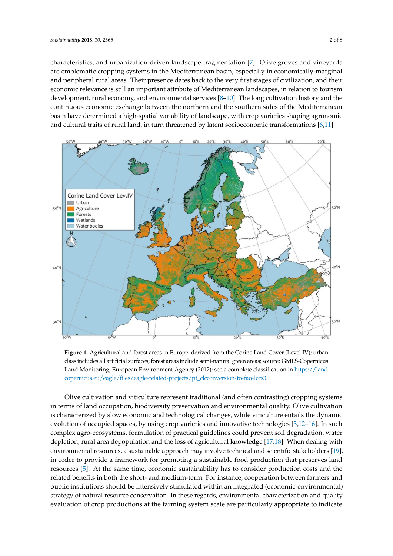characteristics, and urbanization-driven landscape fragmentation [\[7\]](#page-5-4). Olive groves and vineyards are emblematic cropping systems in the Mediterranean basin, especially in economically-marginal and peripheral rural areas. Their presence dates back to the very first stages of civilization, and their economic relevance is still an important attribute of Mediterranean landscapes, in relation to tourism development, rural economy, and environmental services [\[8](#page-5-5)[–10\]](#page-5-6). The long cultivation history and the continuous economic exchange between the northern and the southern sides of the Mediterranean basin have determined a high-spatial variability of landscape, with crop varieties shaping agronomic and cultural traits of rural land, in turn threatened by latent socioeconomic transformations [\[6](#page-5-3)[,11\]](#page-5-7). socioeconomic transformations [6,11].

<span id="page-1-0"></span>

**Figure 1.** Agricultural and forest areas in Europe, derived from the Corine Land Cover (Level IV); **Figure 1.** Agricultural and forest areas in Europe, derived from the Corine Land Cover (Level IV); urban urban class includes all artificial surfaces; forest areas include semi-natural green areas; source: class includes all artificial surfaces; forest areas include semi-natural green areas; source: GMES-Copernicus Land Monitoring, European Environment Agency (2012); see a complete classification in [https://land.](https://land.copernicus.eu/eagle/files/eagle-related-projects/pt_clcconversion-to-fao-lccs3) [copernicus.eu/eagle/files/eagle-related-projects/pt\\_clcconversion-to-fao-lccs3.](https://land.copernicus.eu/eagle/files/eagle-related-projects/pt_clcconversion-to-fao-lccs3)

Olive cultivation and viticulture represent traditional (and often contrasting) cropping systems in terms of land occupation, biodiversity preservation and environmental quality. Olive cultivation in terms of land occupation, biodiversity preservation and environmental quality. Olive cultivation is characterized by slow economic and technological changes, while viticulture entails the dynamic is characterized by slow economic and technological changes, while viticulture entails the dynamic evolution of occupied spaces, by using crop varieties and innovative technologies [3,12–16]. In such evolution of occupied spaces, by using crop varieties and innovative technologies [\[3](#page-5-2)[,12](#page-6-0)[–16\]](#page-6-1). In such complex agro-ecosystems, formulation of practical guidelines could prevent soil degradation, water complex agro-ecosystems, formulation of practical guidelines could prevent soil degradation, water depletion, rural area depopulation and the loss of agricultural knowledge [17,18]. When dealing depletion, rural area depopulation and the loss of agricultural knowledge [\[17,](#page-6-2)[18\]](#page-6-3). When dealing with environmental resources, a sustainable approach may involve technical and scientific stakeholders [\[19\]](#page-6-4),<br>. in order to provide a framework for promoting a sustainable food production that preserves land<br> resources [\[5\]](#page-5-8). At the same time, economic sustainability has to consider production costs and the contents in both the short- and medium-term. For instance, cooperation between farmers and public institutions should be intensively stimulated within an integrated (economic-environmental)<br> strategy of natural resource conservation. In these regards, environmental characterization and quality evaluation of crop productions at the farming system scale are particularly appropriate to indicate Olive cultivation and viticulture represent traditional (and often contrasting) cropping systems related benefits in both the short- and medium-term. For instance, cooperation between farmers and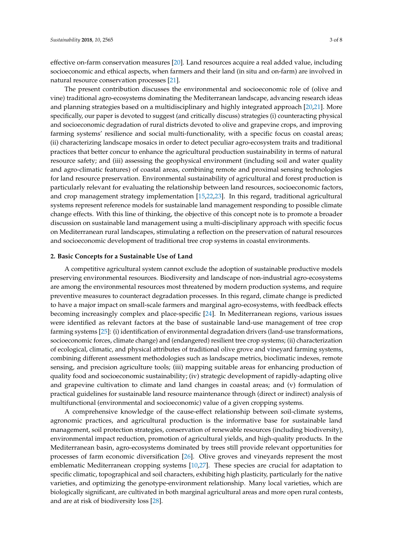effective on-farm conservation measures [\[20\]](#page-6-5). Land resources acquire a real added value, including socioeconomic and ethical aspects, when farmers and their land (in situ and on-farm) are involved in natural resource conservation processes [\[21\]](#page-6-6).

The present contribution discusses the environmental and socioeconomic role of (olive and vine) traditional agro-ecosystems dominating the Mediterranean landscape, advancing research ideas and planning strategies based on a multidisciplinary and highly integrated approach [\[20](#page-6-5)[,21\]](#page-6-6). More specifically, our paper is devoted to suggest (and critically discuss) strategies (i) counteracting physical and socioeconomic degradation of rural districts devoted to olive and grapevine crops, and improving farming systems' resilience and social multi-functionality, with a specific focus on coastal areas; (ii) characterizing landscape mosaics in order to detect peculiar agro-ecosystem traits and traditional practices that better concur to enhance the agricultural production sustainability in terms of natural resource safety; and (iii) assessing the geophysical environment (including soil and water quality and agro-climatic features) of coastal areas, combining remote and proximal sensing technologies for land resource preservation. Environmental sustainability of agricultural and forest production is particularly relevant for evaluating the relationship between land resources, socioeconomic factors, and crop management strategy implementation [\[15](#page-6-7)[,22,](#page-6-8)[23\]](#page-6-9). In this regard, traditional agricultural systems represent reference models for sustainable land management responding to possible climate change effects. With this line of thinking, the objective of this concept note is to promote a broader discussion on sustainable land management using a multi-disciplinary approach with specific focus on Mediterranean rural landscapes, stimulating a reflection on the preservation of natural resources and socioeconomic development of traditional tree crop systems in coastal environments.

### **2. Basic Concepts for a Sustainable Use of Land**

A competitive agricultural system cannot exclude the adoption of sustainable productive models preserving environmental resources. Biodiversity and landscape of non-industrial agro-ecosystems are among the environmental resources most threatened by modern production systems, and require preventive measures to counteract degradation processes. In this regard, climate change is predicted to have a major impact on small-scale farmers and marginal agro-ecosystems, with feedback effects becoming increasingly complex and place-specific [\[24\]](#page-6-10). In Mediterranean regions, various issues were identified as relevant factors at the base of sustainable land-use management of tree crop farming systems [\[25\]](#page-6-11): (i) identification of environmental degradation drivers (land-use transformations, socioeconomic forces, climate change) and (endangered) resilient tree crop systems; (ii) characterization of ecological, climatic, and physical attributes of traditional olive grove and vineyard farming systems, combining different assessment methodologies such as landscape metrics, bioclimatic indexes, remote sensing, and precision agriculture tools; (iii) mapping suitable areas for enhancing production of quality food and socioeconomic sustainability; (iv) strategic development of rapidly-adapting olive and grapevine cultivation to climate and land changes in coastal areas; and (v) formulation of practical guidelines for sustainable land resource maintenance through (direct or indirect) analysis of multifunctional (environmental and socioeconomic) value of a given cropping systems.

A comprehensive knowledge of the cause-effect relationship between soil-climate systems, agronomic practices, and agricultural production is the informative base for sustainable land management, soil protection strategies, conservation of renewable resources (including biodiversity), environmental impact reduction, promotion of agricultural yields, and high-quality products. In the Mediterranean basin, agro-ecosystems dominated by trees still provide relevant opportunities for processes of farm economic diversification [\[26\]](#page-6-12). Olive groves and vineyards represent the most emblematic Mediterranean cropping systems [\[10,](#page-5-6)[27\]](#page-6-13). These species are crucial for adaptation to specific climatic, topographical and soil characters, exhibiting high plasticity, particularly for the native varieties, and optimizing the genotype-environment relationship. Many local varieties, which are biologically significant, are cultivated in both marginal agricultural areas and more open rural contests, and are at risk of biodiversity loss [\[28\]](#page-6-14).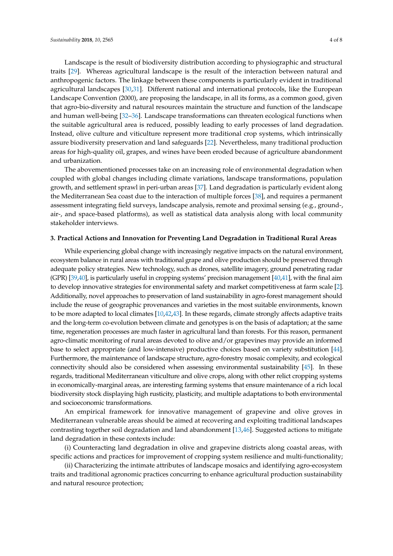Landscape is the result of biodiversity distribution according to physiographic and structural traits [\[29\]](#page-6-15). Whereas agricultural landscape is the result of the interaction between natural and anthropogenic factors. The linkage between these components is particularly evident in traditional agricultural landscapes [\[30,](#page-6-16)[31\]](#page-6-17). Different national and international protocols, like the European Landscape Convention (2000), are proposing the landscape, in all its forms, as a common good, given that agro-bio-diversity and natural resources maintain the structure and function of the landscape and human well-being [\[32–](#page-6-18)[36\]](#page-7-0). Landscape transformations can threaten ecological functions when the suitable agricultural area is reduced, possibly leading to early processes of land degradation. Instead, olive culture and viticulture represent more traditional crop systems, which intrinsically assure biodiversity preservation and land safeguards [\[22\]](#page-6-8). Nevertheless, many traditional production areas for high-quality oil, grapes, and wines have been eroded because of agriculture abandonment and urbanization.

The abovementioned processes take on an increasing role of environmental degradation when coupled with global changes including climate variations, landscape transformations, population growth, and settlement sprawl in peri-urban areas [\[37\]](#page-7-1). Land degradation is particularly evident along the Mediterranean Sea coast due to the interaction of multiple forces [\[38\]](#page-7-2), and requires a permanent assessment integrating field surveys, landscape analysis, remote and proximal sensing (e.g., ground-, air-, and space-based platforms), as well as statistical data analysis along with local community stakeholder interviews.

#### **3. Practical Actions and Innovation for Preventing Land Degradation in Traditional Rural Areas**

While experiencing global change with increasingly negative impacts on the natural environment, ecosystem balance in rural areas with traditional grape and olive production should be preserved through adequate policy strategies. New technology, such as drones, satellite imagery, ground penetrating radar (GPR) [\[39](#page-7-3)[,40\]](#page-7-4), is particularly useful in cropping systems' precision management [\[40,](#page-7-4)[41\]](#page-7-5), with the final aim to develop innovative strategies for environmental safety and market competitiveness at farm scale [\[2\]](#page-5-1). Additionally, novel approaches to preservation of land sustainability in agro-forest management should include the reuse of geographic provenances and varieties in the most suitable environments, known to be more adapted to local climates [\[10,](#page-5-6)[42](#page-7-6)[,43\]](#page-7-7). In these regards, climate strongly affects adaptive traits and the long-term co-evolution between climate and genotypes is on the basis of adaptation; at the same time, regeneration processes are much faster in agricultural land than forests. For this reason, permanent agro-climatic monitoring of rural areas devoted to olive and/or grapevines may provide an informed base to select appropriate (and low-intensive) productive choices based on variety substitution [\[44\]](#page-7-8). Furthermore, the maintenance of landscape structure, agro-forestry mosaic complexity, and ecological connectivity should also be considered when assessing environmental sustainability [\[45\]](#page-7-9). In these regards, traditional Mediterranean viticulture and olive crops, along with other relict cropping systems in economically-marginal areas, are interesting farming systems that ensure maintenance of a rich local biodiversity stock displaying high rusticity, plasticity, and multiple adaptations to both environmental and socioeconomic transformations.

An empirical framework for innovative management of grapevine and olive groves in Mediterranean vulnerable areas should be aimed at recovering and exploiting traditional landscapes contrasting together soil degradation and land abandonment [\[13](#page-6-19)[,46\]](#page-7-10). Suggested actions to mitigate land degradation in these contexts include:

(i) Counteracting land degradation in olive and grapevine districts along coastal areas, with specific actions and practices for improvement of cropping system resilience and multi-functionality;

(ii) Characterizing the intimate attributes of landscape mosaics and identifying agro-ecosystem traits and traditional agronomic practices concurring to enhance agricultural production sustainability and natural resource protection;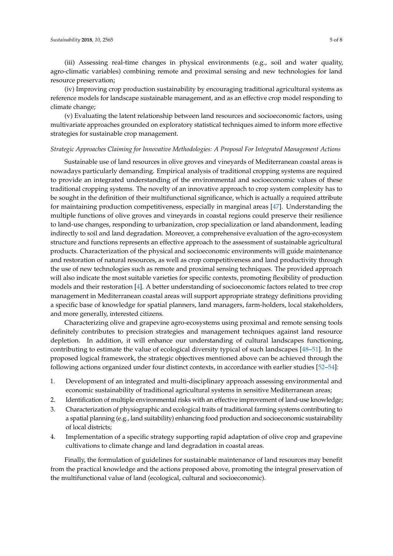(iii) Assessing real-time changes in physical environments (e.g., soil and water quality, agro-climatic variables) combining remote and proximal sensing and new technologies for land resource preservation;

(iv) Improving crop production sustainability by encouraging traditional agricultural systems as reference models for landscape sustainable management, and as an effective crop model responding to climate change;

(v) Evaluating the latent relationship between land resources and socioeconomic factors, using multivariate approaches grounded on exploratory statistical techniques aimed to inform more effective strategies for sustainable crop management.

#### *Strategic Approaches Claiming for Innovative Methodologies: A Proposal For Integrated Management Actions*

Sustainable use of land resources in olive groves and vineyards of Mediterranean coastal areas is nowadays particularly demanding. Empirical analysis of traditional cropping systems are required to provide an integrated understanding of the environmental and socioeconomic values of these traditional cropping systems. The novelty of an innovative approach to crop system complexity has to be sought in the definition of their multifunctional significance, which is actually a required attribute for maintaining production competitiveness, especially in marginal areas [\[47\]](#page-7-11). Understanding the multiple functions of olive groves and vineyards in coastal regions could preserve their resilience to land-use changes, responding to urbanization, crop specialization or land abandonment, leading indirectly to soil and land degradation. Moreover, a comprehensive evaluation of the agro-ecosystem structure and functions represents an effective approach to the assessment of sustainable agricultural products. Characterization of the physical and socioeconomic environments will guide maintenance and restoration of natural resources, as well as crop competitiveness and land productivity through the use of new technologies such as remote and proximal sensing techniques. The provided approach will also indicate the most suitable varieties for specific contexts, promoting flexibility of production models and their restoration [\[4\]](#page-5-9). A better understanding of socioeconomic factors related to tree crop management in Mediterranean coastal areas will support appropriate strategy definitions providing a specific base of knowledge for spatial planners, land managers, farm-holders, local stakeholders, and more generally, interested citizens.

Characterizing olive and grapevine agro-ecosystems using proximal and remote sensing tools definitely contributes to precision strategies and management techniques against land resource depletion. In addition, it will enhance our understanding of cultural landscapes functioning, contributing to estimate the value of ecological diversity typical of such landscapes [\[48–](#page-7-12)[51\]](#page-7-13). In the proposed logical framework, the strategic objectives mentioned above can be achieved through the following actions organized under four distinct contexts, in accordance with earlier studies [\[52](#page-7-14)[–54\]](#page-7-15):

- 1. Development of an integrated and multi-disciplinary approach assessing environmental and economic sustainability of traditional agricultural systems in sensitive Mediterranean areas;
- 2. Identification of multiple environmental risks with an effective improvement of land-use knowledge;
- 3. Characterization of physiographic and ecological traits of traditional farming systems contributing to a spatial planning (e.g., land suitability) enhancing food production and socioeconomic sustainability of local districts;
- 4. Implementation of a specific strategy supporting rapid adaptation of olive crop and grapevine cultivations to climate change and land degradation in coastal areas.

Finally, the formulation of guidelines for sustainable maintenance of land resources may benefit from the practical knowledge and the actions proposed above, promoting the integral preservation of the multifunctional value of land (ecological, cultural and socioeconomic).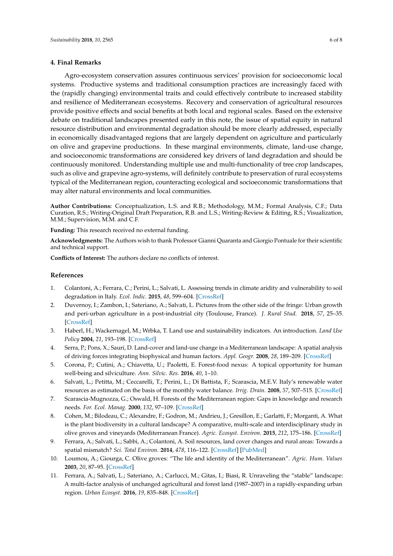## **4. Final Remarks**

Agro-ecosystem conservation assures continuous services' provision for socioeconomic local systems. Productive systems and traditional consumption practices are increasingly faced with the (rapidly changing) environmental traits and could effectively contribute to increased stability and resilience of Mediterranean ecosystems. Recovery and conservation of agricultural resources provide positive effects and social benefits at both local and regional scales. Based on the extensive debate on traditional landscapes presented early in this note, the issue of spatial equity in natural resource distribution and environmental degradation should be more clearly addressed, especially in economically disadvantaged regions that are largely dependent on agriculture and particularly on olive and grapevine productions. In these marginal environments, climate, land-use change, and socioeconomic transformations are considered key drivers of land degradation and should be continuously monitored. Understanding multiple use and multi-functionality of tree crop landscapes, such as olive and grapevine agro-systems, will definitely contribute to preservation of rural ecosystems typical of the Mediterranean region, counteracting ecological and socioeconomic transformations that may alter natural environments and local communities.

**Author Contributions:** Conceptualization, L.S. and R.B.; Methodology, M.M.; Formal Analysis, C.F.; Data Curation, R.S.; Writing-Original Draft Preparation, R.B. and L.S.; Writing-Review & Editing, R.S.; Visualization, M.M.; Supervision, M.M. and C.F.

**Funding:** This research received no external funding.

**Acknowledgments:** The Authors wish to thank Professor Gianni Quaranta and Giorgio Pontuale for their scientific and technical support.

**Conflicts of Interest:** The authors declare no conflicts of interest.

## **References**

- <span id="page-5-0"></span>1. Colantoni, A.; Ferrara, C.; Perini, L.; Salvati, L. Assessing trends in climate aridity and vulnerability to soil degradation in Italy. *Ecol. Indic.* **2015**, *48*, 599–604. [\[CrossRef\]](http://dx.doi.org/10.1016/j.ecolind.2014.09.031)
- <span id="page-5-1"></span>2. Duvernoy, I.; Zambon, I.; Sateriano, A.; Salvati, L. Pictures from the other side of the fringe: Urban growth and peri-urban agriculture in a post-industrial city (Toulouse, France). *J. Rural Stud.* **2018**, *57*, 25–35. [\[CrossRef\]](http://dx.doi.org/10.1016/j.jrurstud.2017.10.007)
- <span id="page-5-2"></span>3. Haberl, H.; Wackernagel, M.; Wrbka, T. Land use and sustainability indicators. An introduction. *Land Use Policy* **2004**, *21*, 193–198. [\[CrossRef\]](http://dx.doi.org/10.1016/j.landusepol.2003.10.004)
- <span id="page-5-9"></span>4. Serra, P.; Pons, X.; Saurí, D. Land-cover and land-use change in a Mediterranean landscape: A spatial analysis of driving forces integrating biophysical and human factors. *Appl. Geogr.* **2008**, *28*, 189–209. [\[CrossRef\]](http://dx.doi.org/10.1016/j.apgeog.2008.02.001)
- <span id="page-5-8"></span>5. Corona, P.; Cutini, A.; Chiavetta, U.; Paoletti, E. Forest-food nexus: A topical opportunity for human well-being and silviculture. *Ann. Silvic. Res.* **2016**, *40*, 1–10.
- <span id="page-5-3"></span>6. Salvati, L.; Petitta, M.; Ceccarelli, T.; Perini, L.; Di Battista, F.; Scarascia, M.E.V. Italy's renewable water resources as estimated on the basis of the monthly water balance. *Irrig. Drain.* **2008**, *57*, 507–515. [\[CrossRef\]](http://dx.doi.org/10.1002/ird.380)
- <span id="page-5-4"></span>7. Scarascia-Mugnozza, G.; Oswald, H. Forests of the Mediterranean region: Gaps in knowledge and research needs. *For. Ecol. Manag.* **2000**, *132*, 97–109. [\[CrossRef\]](http://dx.doi.org/10.1016/S0378-1127(00)00383-2)
- <span id="page-5-5"></span>8. Cohen, M.; Bilodeau, C.; Alexandre, F.; Godron, M.; Andrieu, J.; Gresillon, E.; Garlatti, F.; Morganti, A. What is the plant biodiversity in a cultural landscape? A comparative, multi-scale and interdisciplinary study in olive groves and vineyards (Mediterranean France). *Agric. Ecosyst. Environ.* **2015**, *212*, 175–186. [\[CrossRef\]](http://dx.doi.org/10.1016/j.agee.2015.06.023)
- 9. Ferrara, A.; Salvati, L.; Sabbi, A.; Colantoni, A. Soil resources, land cover changes and rural areas: Towards a spatial mismatch? *Sci. Total Environ.* **2014**, *478*, 116–122. [\[CrossRef\]](http://dx.doi.org/10.1016/j.scitotenv.2014.01.040) [\[PubMed\]](http://www.ncbi.nlm.nih.gov/pubmed/24530591)
- <span id="page-5-6"></span>10. Loumou, A.; Giourga, C. Olive groves: "The life and identity of the Mediterranean". *Agric. Hum. Values* **2003**, *20*, 87–95. [\[CrossRef\]](http://dx.doi.org/10.1023/A:1022444005336)
- <span id="page-5-7"></span>11. Ferrara, A.; Salvati, L.; Sateriano, A.; Carlucci, M.; Gitas, I.; Biasi, R. Unraveling the "stable" landscape: A multi-factor analysis of unchanged agricultural and forest land (1987–2007) in a rapidly-expanding urban region. *Urban Ecosyst.* **2016**, *19*, 835–848. [\[CrossRef\]](http://dx.doi.org/10.1007/s11252-015-0509-x)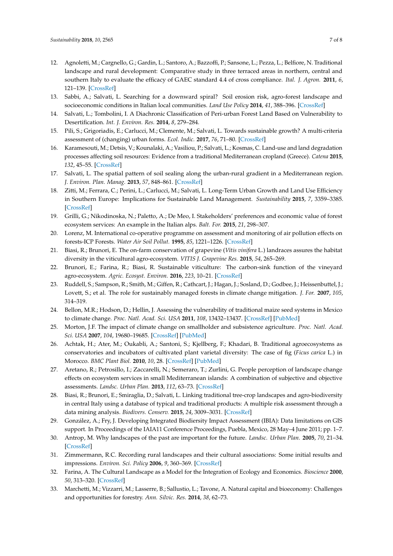- <span id="page-6-0"></span>12. Agnoletti, M.; Cargnello, G.; Gardin, L.; Santoro, A.; Bazzoffi, P.; Sansone, L.; Pezza, L.; Belfiore, N. Traditional landscape and rural development: Comparative study in three terraced areas in northern, central and southern Italy to evaluate the efficacy of GAEC standard 4.4 of cross compliance. *Ital. J. Agron.* **2011**, *6*, 121–139. [\[CrossRef\]](http://dx.doi.org/10.4081/ija.2011.6.s1.e16)
- <span id="page-6-19"></span>13. Sabbi, A.; Salvati, L. Searching for a downward spiral? Soil erosion risk, agro-forest landscape and socioeconomic conditions in Italian local communities. *Land Use Policy* **2014**, *41*, 388–396. [\[CrossRef\]](http://dx.doi.org/10.1016/j.landusepol.2014.06.023)
- 14. Salvati, L.; Tombolini, I. A Diachronic Classification of Peri-urban Forest Land Based on Vulnerability to Desertification. *Int. J. Environ. Res.* **2014**, *8*, 279–284.
- <span id="page-6-7"></span>15. Pili, S.; Grigoriadis, E.; Carlucci, M.; Clemente, M.; Salvati, L. Towards sustainable growth? A multi-criteria assessment of (changing) urban forms. *Ecol. Indic.* **2017**, *76*, 71–80. [\[CrossRef\]](http://dx.doi.org/10.1016/j.ecolind.2017.01.008)
- <span id="page-6-1"></span>16. Karamesouti, M.; Detsis, V.; Kounalaki, A.; Vasiliou, P.; Salvati, L.; Kosmas, C. Land-use and land degradation processes affecting soil resources: Evidence from a traditional Mediterranean cropland (Greece). *Catena* **2015**, *132*, 45–55. [\[CrossRef\]](http://dx.doi.org/10.1016/j.catena.2015.04.010)
- <span id="page-6-2"></span>17. Salvati, L. The spatial pattern of soil sealing along the urban-rural gradient in a Mediterranean region. *J. Environ. Plan. Manag.* **2013**, *57*, 848–861. [\[CrossRef\]](http://dx.doi.org/10.1080/09640568.2013.770730)
- <span id="page-6-3"></span>18. Zitti, M.; Ferrara, C.; Perini, L.; Carlucci, M.; Salvati, L. Long-Term Urban Growth and Land Use Efficiency in Southern Europe: Implications for Sustainable Land Management. *Sustainability* **2015**, *7*, 3359–3385. [\[CrossRef\]](http://dx.doi.org/10.3390/su7033359)
- <span id="page-6-4"></span>19. Grilli, G.; Nikodinoska, N.; Paletto, A.; De Meo, I. Stakeholders' preferences and economic value of forest ecosystem services: An example in the Italian alps. *Balt. For.* **2015**, *21*, 298–307.
- <span id="page-6-5"></span>20. Lorenz, M. International co-operative programme on assessment and monitoring of air pollution effects on forests-ICP Forests. *Water Air Soil Pollut.* **1995**, *85*, 1221–1226. [\[CrossRef\]](http://dx.doi.org/10.1007/BF00477148)
- <span id="page-6-6"></span>21. Biasi, R.; Brunori, E. The on-farm conservation of grapevine (*Vitis vinifera* L.) landraces assures the habitat diversity in the viticultural agro-ecosystem. *VITIS J. Grapevine Res.* **2015**, *54*, 265–269.
- <span id="page-6-8"></span>22. Brunori, E.; Farina, R.; Biasi, R. Sustainable viticulture: The carbon-sink function of the vineyard agro-ecosystem. *Agric. Ecosyst. Environ.* **2016**, *223*, 10–21. [\[CrossRef\]](http://dx.doi.org/10.1016/j.agee.2016.02.012)
- <span id="page-6-9"></span>23. Ruddell, S.; Sampson, R.; Smith, M.; Giffen, R.; Cathcart, J.; Hagan, J.; Sosland, D.; Godbee, J.; Heissenbuttel, J.; Lovett, S.; et al. The role for sustainably managed forests in climate change mitigation. *J. For.* **2007**, *105*, 314–319.
- <span id="page-6-10"></span>24. Bellon, M.R.; Hodson, D.; Hellin, J. Assessing the vulnerability of traditional maize seed systems in Mexico to climate change. *Proc. Natl. Acad. Sci. USA* **2011**, *108*, 13432–13437. [\[CrossRef\]](http://dx.doi.org/10.1073/pnas.1103373108) [\[PubMed\]](http://www.ncbi.nlm.nih.gov/pubmed/21825131)
- <span id="page-6-11"></span>25. Morton, J.F. The impact of climate change on smallholder and subsistence agriculture. *Proc. Natl. Acad. Sci. USA* **2007**, *104*, 19680–19685. [\[CrossRef\]](http://dx.doi.org/10.1073/pnas.0701855104) [\[PubMed\]](http://www.ncbi.nlm.nih.gov/pubmed/18077400)
- <span id="page-6-12"></span>26. Achtak, H.; Ater, M.; Oukabli, A.; Santoni, S.; Kjellberg, F.; Khadari, B. Traditional agroecosystems as conservatories and incubators of cultivated plant varietal diversity: The case of fig (*Ficus carica* L.) in Morocco. *BMC Plant Biol.* **2010**, *10*, 28. [\[CrossRef\]](http://dx.doi.org/10.1186/1471-2229-10-28) [\[PubMed\]](http://www.ncbi.nlm.nih.gov/pubmed/20167055)
- <span id="page-6-13"></span>27. Aretano, R.; Petrosillo, I.; Zaccarelli, N.; Semeraro, T.; Zurlini, G. People perception of landscape change effects on ecosystem services in small Mediterranean islands: A combination of subjective and objective assessments. *Landsc. Urban Plan.* **2013**, *112*, 63–73. [\[CrossRef\]](http://dx.doi.org/10.1016/j.landurbplan.2012.12.010)
- <span id="page-6-14"></span>28. Biasi, R.; Brunori, E.; Smiraglia, D.; Salvati, L. Linking traditional tree-crop landscapes and agro-biodiversity in central Italy using a database of typical and traditional products: A multiple risk assessment through a data mining analysis. *Biodivers. Conserv.* **2015**, *24*, 3009–3031. [\[CrossRef\]](http://dx.doi.org/10.1007/s10531-015-0994-5)
- <span id="page-6-15"></span>29. González, A.; Fry, J. Developing Integrated Biodiersity Impact Assessment (IBIA): Data limitations on GIS support. In Proceedings of the IAIA11 Conference Proceedings, Puebla, Mexico, 28 May–4 June 2011; pp. 1–7.
- <span id="page-6-16"></span>30. Antrop, M. Why landscapes of the past are important for the future. *Landsc. Urban Plan.* **2005**, *70*, 21–34. [\[CrossRef\]](http://dx.doi.org/10.1016/j.landurbplan.2003.10.002)
- <span id="page-6-17"></span>31. Zimmermann, R.C. Recording rural landscapes and their cultural associations: Some initial results and impressions. *Environ. Sci. Policy* **2006**, *9*, 360–369. [\[CrossRef\]](http://dx.doi.org/10.1016/j.envsci.2006.01.009)
- <span id="page-6-18"></span>32. Farina, A. The Cultural Landscape as a Model for the Integration of Ecology and Economics. *Bioscience* **2000**, *50*, 313–320. [\[CrossRef\]](http://dx.doi.org/10.1641/0006-3568(2000)050[0313:TCLAAM]2.3.CO;2)
- 33. Marchetti, M.; Vizzarri, M.; Lasserre, B.; Sallustio, L.; Tavone, A. Natural capital and bioeconomy: Challenges and opportunities for forestry. *Ann. Silvic. Res.* **2014**, *38*, 62–73.